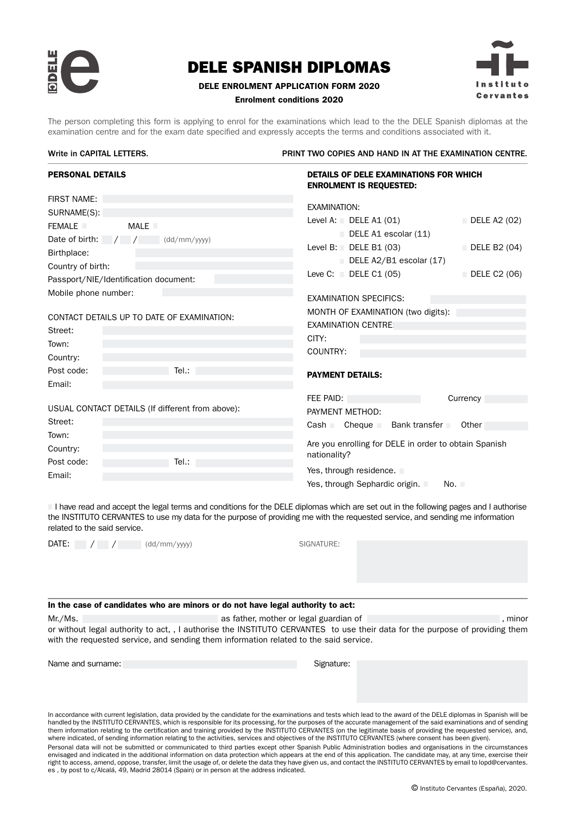

### DELE ENROLMENT APPLICATION FORM 2020

# Cervantes

#### Enrolment conditions 2020

The person completing this form is applying to enrol for the examinations which lead to the the DELE Spanish diplomas at the examination centre and for the exam date specified and expressly accepts the terms and conditions associated with it.

#### Write in CAPITAL LETTERS. The STATE STATE IN A PRINT TWO COPIES AND HAND IN AT THE EXAMINATION CENTRE.

| <b>PERSONAL DETAILS</b>                                                                                                                                                     | <b>DETAILS OF DELE EXAMINATIONS FOR WHICH</b><br><b>ENROLMENT IS REQUESTED:</b>                                                                                                                                                                     |
|-----------------------------------------------------------------------------------------------------------------------------------------------------------------------------|-----------------------------------------------------------------------------------------------------------------------------------------------------------------------------------------------------------------------------------------------------|
| <b>FIRST NAME:</b><br>SURNAME(S):<br><b>MALE</b><br><b>FEMALE</b><br>Date of birth: $\frac{1}{2}$<br>(dd/mm/yyy)<br>Birthplace:<br>Country of birth:                        | <b>EXAMINATION:</b><br>Level A: $\Box$ DELE A1 (01)<br>$\Box$ DELE A2 (02)<br>$\Box$ DELE A1 escolar (11)<br>Level B: DELE B1 $(03)$<br>$\Box$ DELE B2 (04)<br>$\Box$ DELE A2/B1 escolar (17)<br>Leve C: $\Box$ DELE C1 (05)<br>$\Box$ DELE C2 (06) |
| Passport/NIE/Identification document:<br>Mobile phone number:<br>CONTACT DETAILS UP TO DATE OF EXAMINATION:<br>Street:<br>Town:<br>Country:<br>Tel:<br>Post code:<br>Email: | <b>EXAMINATION SPECIFICS:</b><br>MONTH OF EXAMINATION (two digits):<br><b>EXAMINATION CENTRE</b><br>CITY:<br>COUNTRY:<br><b>PAYMENT DETAILS:</b>                                                                                                    |
| USUAL CONTACT DETAILS (If different from above):<br>Street:<br>Town:<br>Country:<br>Post code:<br>Tel:<br>Email:                                                            | FEE PAID:<br>Currency<br>PAYMENT METHOD:<br>$\text{Cash}$ Cheque<br>Bank transfer<br>Other<br>Are you enrolling for DELE in order to obtain Spanish<br>nationality?<br>Yes, through residence.<br>Yes, through Sephardic origin.<br>No. L           |

I have read and accept the legal terms and conditions for the DELE diplomas which are set out in the following pages and I authorise the INSTITUTO CERVANTES to use my data for the purpose of providing me with the requested service, and sending me information related to the said service.

DATE: / / (dd/mm/yyyy) SIGNATURE:

#### In the case of candidates who are minors or do not have legal authority to act:

Mr./Ms. **All as father, mother or legal guardian of the compact of the compact of the compact of the compact of the compact of the compact of the compact of the compact of the compact of the compact of the compact of the c** or without legal authority to act, , I authorise the INSTITUTO CERVANTES to use their data for the purpose of providing them with the requested service, and sending them information related to the said service.

Name and surname: Signature: Signature: Signature: Signature: Signature: Signature: Signature: Signature: Signature: Signature: Signature: Signature: Signature: Signature: Signature: Signature: Signature: Signature: Signat

In accordance with current legislation, data provided by the candidate for the examinations and tests which lead to the award of the DELE diplomas in Spanish will be handled by the INSTITUTO CERVANTES, which is responsible for its processing, for the purposes of the accurate management of the said examinations and of sending them information relating to the certification and training provided by the INSTITUTO CERVANTES (on the legitimate basis of providing the requested service), and, where indicated, of sending information relating to the activities, services and objectives of the INSTITUTO CERVANTES (where consent has been given). Personal data will not be submitted or communicated to third parties except other Spanish Public Administration bodies and organisations in the circumstances envisaged and indicated in the additional information on data protection which appears at the end of this application. The candidate may, at any time, exercise their right to access, amend, oppose, transfer, limit the usage of, or delete the data they have given us, and contact the INSTITUTO CERVANTES by email to lopd@cervantes. es , by post to c/Alcalá, 49, Madrid 28014 (Spain) or in person at the address indicated.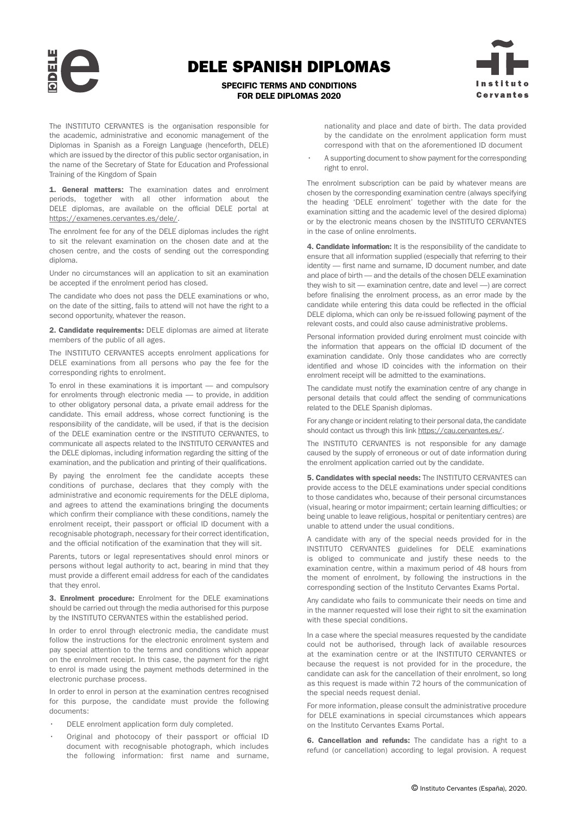SPECIFIC TERMS AND CONDITIONS FOR DELE DIPLOMAS 2020



The INSTITUTO CERVANTES is the organisation responsible for the academic, administrative and economic management of the Diplomas in Spanish as a Foreign Language (henceforth, DELE) which are issued by the director of this public sector organisation, in the name of the Secretary of State for Education and Professional Training of the Kingdom of Spain

1. General matters: The examination dates and enrolment periods, together with all other information about the DELE diplomas, are available on the official DELE portal at [https://examenes.cervantes.es/dele/.](http://examenes.cervantes.es/dele/que-es)

The enrolment fee for any of the DELE diplomas includes the right to sit the relevant examination on the chosen date and at the chosen centre, and the costs of sending out the corresponding diploma.

Under no circumstances will an application to sit an examination be accepted if the enrolment period has closed.

The candidate who does not pass the DELE examinations or who, on the date of the sitting, fails to attend will not have the right to a second opportunity, whatever the reason.

2. Candidate requirements: DELE diplomas are aimed at literate members of the public of all ages.

The INSTITUTO CERVANTES accepts enrolment applications for DELE examinations from all persons who pay the fee for the corresponding rights to enrolment.

To enrol in these examinations it is important — and compulsory for enrolments through electronic media — to provide, in addition to other obligatory personal data, a private email address for the candidate. This email address, whose correct functioning is the responsibility of the candidate, will be used, if that is the decision of the DELE examination centre or the INSTITUTO CERVANTES, to communicate all aspects related to the INSTITUTO CERVANTES and the DELE diplomas, including information regarding the sitting of the examination, and the publication and printing of their qualifications.

By paying the enrolment fee the candidate accepts these conditions of purchase, declares that they comply with the administrative and economic requirements for the DELE diploma, and agrees to attend the examinations bringing the documents which confirm their compliance with these conditions, namely the enrolment receipt, their passport or official ID document with a recognisable photograph, necessary for their correct identification, and the official notification of the examination that they will sit.

Parents, tutors or legal representatives should enrol minors or persons without legal authority to act, bearing in mind that they must provide a different email address for each of the candidates that they enrol.

3. Enrolment procedure: Enrolment for the DELE examinations should be carried out through the media authorised for this purpose by the INSTITUTO CERVANTES within the established period.

In order to enrol through electronic media, the candidate must follow the instructions for the electronic enrolment system and pay special attention to the terms and conditions which appear on the enrolment receipt. In this case, the payment for the right to enrol is made using the payment methods determined in the electronic purchase process.

In order to enrol in person at the examination centres recognised for this purpose, the candidate must provide the following documents:

- [DELE enrolment application form duly completed.](https://examenes.cervantes.es/sites/default/files/application_form_dele_2017_instituto_cervantes_en.pdf)
- Original and photocopy of their passport or official ID document with recognisable photograph, which includes the following information: first name and surname,

nationality and place and date of birth. The data provided by the candidate on the enrolment application form must correspond with that on the aforementioned ID document

A supporting document to show payment for the corresponding right to enrol.

The enrolment subscription can be paid by whatever means are chosen by the corresponding examination centre (always specifying the heading 'DELE enrolment' together with the date for the examination sitting and the academic level of the desired diploma) or by the electronic means chosen by the INSTITUTO CERVANTES in the case of online enrolments.

4. Candidate information: It is the responsibility of the candidate to ensure that all information supplied (especially that referring to their identity — first name and surname, ID document number, and date and place of birth — and the details of the chosen DELE examination they wish to sit — examination centre, date and level —) are correct before finalising the enrolment process, as an error made by the candidate while entering this data could be reflected in the official DELE diploma, which can only be re-issued following payment of the relevant costs, and could also cause administrative problems.

Personal information provided during enrolment must coincide with the information that appears on the official ID document of the examination candidate. Only those candidates who are correctly identified and whose ID coincides with the information on their enrolment receipt will be admitted to the examinations.

The candidate must notify the examination centre of any change in personal details that could affect the sending of communications related to the DELE Spanish diplomas.

For any change or incident relating to their personal data, the candidate should contact us through this link<https://cau.cervantes.es/>.

The INSTITUTO CERVANTES is not responsible for any damage caused by the supply of erroneous or out of date information during the enrolment application carried out by the candidate.

5. Candidates with special needs: The INSTITUTO CERVANTES can provide access to the DELE examinations under special conditions to those candidates who, because of their personal circumstances (visual, hearing or motor impairment; certain learning difficulties; or being unable to leave religious, hospital or penitentiary centres) are unable to attend under the usual conditions.

A candidate with any of the special needs provided for in the INSTITUTO CERVANTES guidelines for DELE examinations is obliged to communicate and justify these needs to the examination centre, within a maximum period of 48 hours from the moment of enrolment, by following the instructions in the corresponding section of the Instituto Cervantes Exams Portal.

Any candidate who fails to communicate their needs on time and in the manner requested will lose their right to sit the examination with these special conditions.

In a case where the special measures requested by the candidate could not be authorised, through lack of available resources at the examination centre or at the INSTITUTO CERVANTES or because the request is not provided for in the procedure, the candidate can ask for the cancellation of their enrolment, so long as this request is made within 72 hours of the communication of the special needs request denial.

For more information, please consult the administrative procedure for DELE examinations in special circumstances which appears on the Instituto Cervantes Exams Portal.

6. Cancellation and refunds: The candidate has a right to a refund (or cancellation) according to legal provision. A request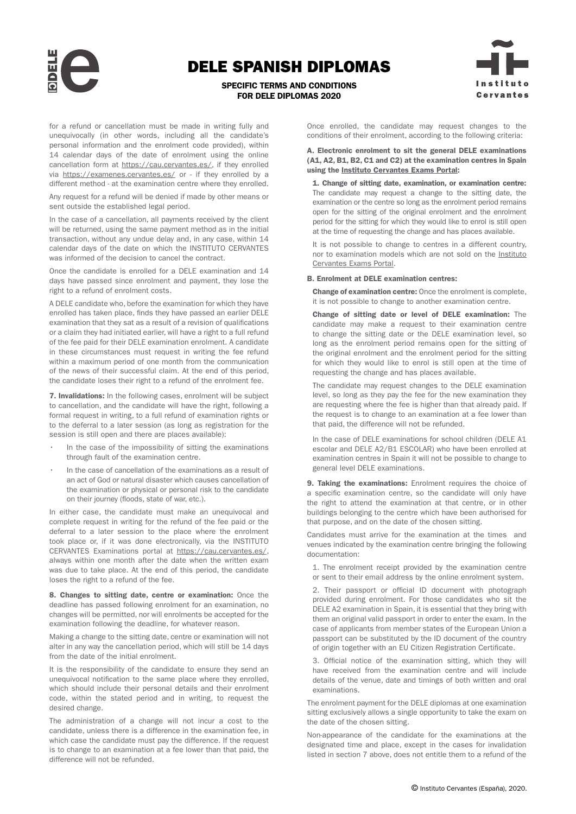

SPECIFIC TERMS AND CONDITIONS FOR DELE DIPLOMAS 2020



for a refund or cancellation must be made in writing fully and unequivocally (in other words, including all the candidate's personal information and the enrolment code provided), within 14 calendar days of the date of enrolment using the online cancellation form at [https://cau.cervantes.es/,](https://cau.cervantes.es/) if they enrolled via [https://examenes.cervantes.es/](https://examenes.cervantes.es) or - if they enrolled by a different method - at the examination centre where they enrolled.

Any request for a refund will be denied if made by other means or sent outside the established legal period.

In the case of a cancellation, all payments received by the client will be returned, using the same payment method as in the initial transaction, without any undue delay and, in any case, within 14 calendar days of the date on which the INSTITUTO CERVANTES was informed of the decision to cancel the contract.

Once the candidate is enrolled for a DELE examination and 14 days have passed since enrolment and payment, they lose the right to a refund of enrolment costs.

A DELE candidate who, before the examination for which they have enrolled has taken place, finds they have passed an earlier DELE examination that they sat as a result of a revision of qualifications or a claim they had initiated earlier, will have a right to a full refund of the fee paid for their DELE examination enrolment. A candidate in these circumstances must request in writing the fee refund within a maximum period of one month from the communication of the news of their successful claim. At the end of this period, the candidate loses their right to a refund of the enrolment fee.

7. Invalidations: In the following cases, enrolment will be subject to cancellation, and the candidate will have the right, following a formal request in writing, to a full refund of examination rights or to the deferral to a later session (as long as registration for the session is still open and there are places available):

- In the case of the impossibility of sitting the examinations through fault of the examination centre.
- In the case of cancellation of the examinations as a result of an act of God or natural disaster which causes cancellation of the examination or physical or personal risk to the candidate on their journey (floods, state of war, etc.).

In either case, the candidate must make an unequivocal and complete request in writing for the refund of the fee paid or the deferral to a later session to the place where the enrolment took place or, if it was done electronically, via the INSTITUTO CERVANTES Examinations portal at [https://cau.cervantes.es/,](https://cau.cervantes.es/) always within one month after the date when the written exam was due to take place. At the end of this period, the candidate loses the right to a refund of the fee.

8. Changes to sitting date, centre or examination: Once the deadline has passed following enrolment for an examination, no changes will be permitted, nor will enrolments be accepted for the examination following the deadline, for whatever reason.

Making a change to the sitting date, centre or examination will not alter in any way the cancellation period, which will still be 14 days from the date of the initial enrolment.

It is the responsibility of the candidate to ensure they send an unequivocal notification to the same place where they enrolled, which should include their personal details and their enrolment code, within the stated period and in writing, to request the desired change.

The administration of a change will not incur a cost to the candidate, unless there is a difference in the examination fee, in which case the candidate must pay the difference. If the request is to change to an examination at a fee lower than that paid, the difference will not be refunded.

Once enrolled, the candidate may request changes to the conditions of their enrolment, according to the following criteria:

#### A. Electronic enrolment to sit the general DELE examinations (A1, A2, B1, B2, C1 and C2) at the examination centres in Spain using the [Instituto Cervantes Exams Portal:](https://examenes.cervantes.es/)

1. Change of sitting date, examination, or examination centre: The candidate may request a change to the sitting date, the examination or the centre so long as the enrolment period remains open for the sitting of the original enrolment and the enrolment period for the sitting for which they would like to enrol is still open at the time of requesting the change and has places available.

It is not possible to change to centres in a different country, nor to examination models which are not sold on the [Instituto](https://examenes.cervantes.es/) [Cervantes Exams Portal.](https://examenes.cervantes.es/)

#### B. Enrolment at DELE examination centres:

Change of examination centre: Once the enrolment is complete, it is not possible to change to another examination centre.

Change of sitting date or level of DELE examination: The candidate may make a request to their examination centre to change the sitting date or the DELE examination level, so long as the enrolment period remains open for the sitting of the original enrolment and the enrolment period for the sitting for which they would like to enrol is still open at the time of requesting the change and has places available.

The candidate may request changes to the DELE examination level, so long as they pay the fee for the new examination they are requesting where the fee is higher than that already paid. If the request is to change to an examination at a fee lower than that paid, the difference will not be refunded.

In the case of DELE examinations for school children (DELE A1 escolar and DELE A2/B1 ESCOLAR) who have been enrolled at examination centres in Spain it will not be possible to change to general level DELE examinations.

9. Taking the examinations: Enrolment requires the choice of a specific examination centre, so the candidate will only have the right to attend the examination at that centre, or in other buildings belonging to the centre which have been authorised for that purpose, and on the date of the chosen sitting.

Candidates must arrive for the examination at the times and venues indicated by the examination centre bringing the following documentation:

1. The enrolment receipt provided by the examination centre or sent to their email address by the online enrolment system.

2. Their passport or official ID document with photograph provided during enrolment. For those candidates who sit the DELE A2 examination in Spain, it is essential that they bring with them an original valid passport in order to enter the exam. In the case of applicants from member states of the European Union a passport can be substituted by the ID document of the country of origin together with an EU Citizen Registration Certificate.

3. Official notice of the examination sitting, which they will have received from the examination centre and will include details of the venue, date and timings of both written and oral examinations.

The enrolment payment for the DELE diplomas at one examination sitting exclusively allows a single opportunity to take the exam on the date of the chosen sitting.

Non-appearance of the candidate for the examinations at the designated time and place, except in the cases for invalidation listed in section 7 above, does not entitle them to a refund of the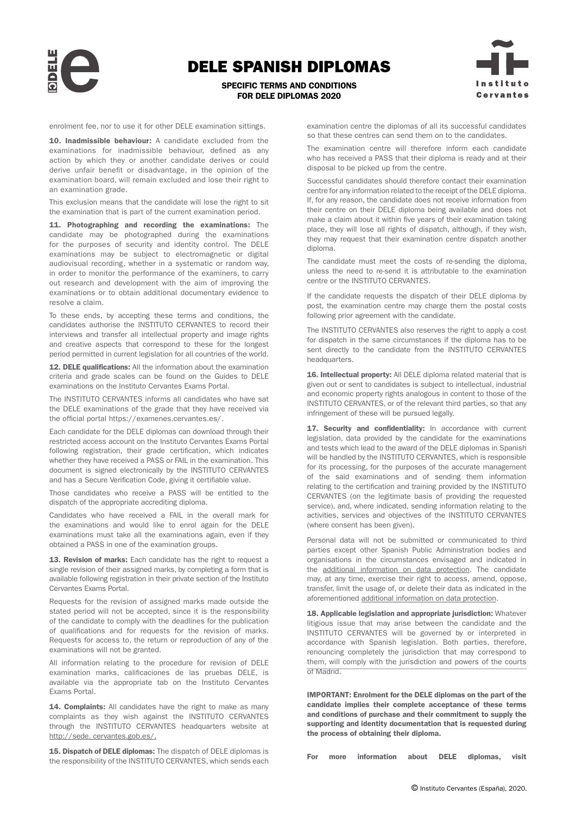SPECIFIC TERMS AND CONDITIONS FOR DELE DIPLOMAS 2020



enrolment fee, nor to use it for other DELE examination sittings.

10. Inadmissible behaviour: A candidate excluded from the examinations for inadmissible behaviour, defined as any action by which they or another candidate derives or could derive unfair benefit or disadvantage, in the opinion of the examination board, will remain excluded and lose their right to an examination grade.

This exclusion means that the candidate will lose the right to sit the examination that is part of the current examination period.

11. Photographing and recording the examinations: The candidate may be photographed during the examinations for the purposes of security and identity control. The DELE examinations may be subject to electromagnetic or digital audiovisual recording, whether in a systematic or random way, in order to monitor the performance of the examiners, to carry out research and development with the aim of improving the examinations or to obtain additional documentary evidence to resolve a claim.

To these ends, by accepting these terms and conditions, the candidates authorise the INSTITUTO CERVANTES to record their interviews and transfer all intellectual property and image rights and creative aspects that correspond to these for the longest period permitted in current legislation for all countries of the world.

12. DELE qualifications: All the information about the examination criteria and grade scales can be found on the Guides to DELE examinations on the Instituto Cervantes Exams Porta[l.](http://examenes.cervantes.es) 

The INSTITUTO CERVANTES informs all candidates who have sat the DELE examinations of the grade that they have received via the official portal [https://examenes.cervantes.es/.](https://examenes.cervantes.es/)

Each candidate for the DELE diplomas can download through their restricted access account on the Instituto Cervantes Exams Portal following registration, their grade certification, which indicates whether they have received a PASS or FAIL in the examination. This document is signed electronically by the INSTITUTO CERVANTES and has a Secure Verification Code, giving it certifiable value.

Those candidates who receive a PASS will be entitled to the dispatch of the appropriate accrediting diploma.

Candidates who have received a FAIL in the overall mark for the examinations and would like to enrol again for the DELE examinations must take all the examinations again, even if they obtained a PASS in one of the examination groups.

13. Revision of marks: Each candidate has the right to request a single revision of their assigned marks, by completing a form that is available following registration in their private section of the Instituto Cervantes Exams Porta[l.](http://examenes.cervantes.es)

Requests for the revision of assigned marks made outside the stated period will not be accepted, since it is the responsibility of the candidate to comply with the deadlines for the publication of qualifications and for requests for the revision of marks. Requests for access to, the return or reproduction of any of the examinations will not be granted.

All information relating to the procedure for revision of DELE examination marks, calificaciones de las pruebas DELE, is available via the appropriate tab on the Instituto Cervantes Exams Portal.

14. Complaints: All candidates have the right to make as many complaints as they wish against the INSTITUTO CERVANTES through the INSTITUTO CERVANTES headquarters website at <http://sede. cervantes.gob.es/>.

15. Dispatch of DELE diplomas: The dispatch of DELE diplomas is the responsibility of the INSTITUTO CERVANTES, which sends each examination centre the diplomas of all its successful candidates so that these centres can send them on to the candidates.

The examination centre will therefore inform each candidate who has received a PASS that their diploma is ready and at their disposal to be picked up from the centre.

Successful candidates should therefore contact their examination centre for any information related to the receipt of the DELE diploma. If, for any reason, the candidate does not receive information from their centre on their DELE diploma being available and does not make a claim about it within five years of their examination taking place, they will lose all rights of dispatch, although, if they wish, they may request that their examination centre dispatch another diploma.

The candidate must meet the costs of re-sending the diploma, unless the need to re-send it is attributable to the examination centre or the INSTITUTO CERVANTES.

If the candidate requests the dispatch of their DELE diploma by post, the examination centre may charge them the postal costs following prior agreement with the candidate.

The INSTITUTO CERVANTES also reserves the right to apply a cost for dispatch in the same circumstances if the diploma has to be sent directly to the candidate from the INSTITUTO CERVANTES headquarters.

16. Intellectual property: All DELE diploma related material that is given out or sent to candidates is subject to intellectual, industrial and economic property rights analogous in content to those of the INSTITUTO CERVANTES, or of the relevant third parties, so that any infringement of these will be pursued legally.

17. Security and confidentiality: In accordance with current legislation, data provided by the candidate for the examinations and tests which lead to the award of the DELE diplomas in Spanish will be handled by the INSTITUTO CERVANTES, which is responsible for its processing, for the purposes of the accurate management of the said examinations and of sending them information relating to the certification and training provided by the INSTITUTO CERVANTES (on the legitimate basis of providing the requested service), and, where indicated, sending information relating to the activities, services and objectives of the INSTITUTO CERVANTES (where consent has been given).

Personal data will not be submitted or communicated to third parties except other Spanish Public Administration bodies and organisations in the circumstances envisaged and indicated in the [additional information on data protection](https://www.cervantes.es/info_adicional_proteccion_datos_servicio_y_consentimiento_examenes_ccse_dele_instituto_cervantes_en.htm). The candidate may, at any time, exercise their right to access, amend, oppose, transfer, limit the usage of, or delete their data as indicated in the aforementioned [additional information on data protection.](https://www.cervantes.es/info_adicional_proteccion_datos_servicio_y_consentimiento_examenes_ccse_dele_instituto_cervantes_en.htm)

18. Applicable legislation and appropriate jurisdiction: Whatever litigious issue that may arise between the candidate and the INSTITUTO CERVANTES will be governed by or interpreted in accordance with Spanish legislation. Both parties, therefore, renouncing completely the jurisdiction that may correspond to them, will comply with the jurisdiction and powers of the courts of Madrid.

IMPORTANT: Enrolment for the DELE diplomas on the part of the candidate implies their complete acceptance of these terms and conditions of purchase and their commitment to supply the supporting and identity documentation that is requested during the process of obtaining their diploma.

For more information about DELE diplomas, visit